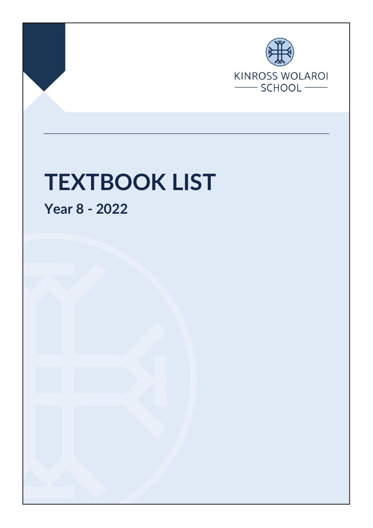

Page 1 of 3 Final Nov 2021

# **TEXTBOOK LIST**

**Year 8 - 2022**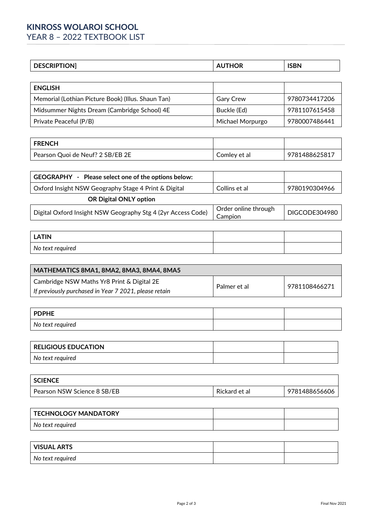# **KINROSS WOLAROI SCHOOL**

YEAR 8 - 2022 TEXTBOOK LIST

| <b>DESCRIPTION</b> | <b>AUTHOR</b> | <b>ISBN</b> |
|--------------------|---------------|-------------|
|                    |               |             |

| <b>ENGLISH</b>                                     |                  |               |
|----------------------------------------------------|------------------|---------------|
| Memorial (Lothian Picture Book) (Illus. Shaun Tan) | <b>Gary Crew</b> | 9780734417206 |
| Midsummer Nights Dream (Cambridge School) 4E       | Buckle (Ed)      | 9781107615458 |
| Private Peaceful (P/B)                             | Michael Morpurgo | 9780007486441 |

| <b>FRENCH</b>                    |              |               |
|----------------------------------|--------------|---------------|
| Pearson Quoi de Neuf? 2 SB/EB 2E | Comley et al | 9781488625817 |

| GEOGRAPHY - Please select one of the options below:          |                                 |               |
|--------------------------------------------------------------|---------------------------------|---------------|
| Oxford Insight NSW Geography Stage 4 Print & Digital         | Collins et al                   | 9780190304966 |
| <b>OR Digital ONLY option</b>                                |                                 |               |
| Digital Oxford Insight NSW Geography Stg 4 (2yr Access Code) | Order online through<br>Campion | DIGCODE304980 |

| <b>LATIN</b>     |  |
|------------------|--|
| No text required |  |

| MATHEMATICS 8MA1, 8MA2, 8MA3, 8MA4, 8MA5              |              |               |
|-------------------------------------------------------|--------------|---------------|
| Cambridge NSW Maths Yr8 Print & Digital 2E            | Palmer et al | 9781108466271 |
| If previously purchased in Year 7 2021, please retain |              |               |

| PDPHE            |  |
|------------------|--|
| No text required |  |

| <b>RELIGIOUS EDUCATION</b> |  |
|----------------------------|--|
| No text required           |  |

| <b>SCIENCE</b>              |               |               |
|-----------------------------|---------------|---------------|
| Pearson NSW Science 8 SB/EB | Rickard et al | 9781488656606 |

| TECHNOLOGY MANDATORY |  |
|----------------------|--|
| No text required     |  |

| <b>VISUAL ARTS</b> |  |
|--------------------|--|
| No text required   |  |